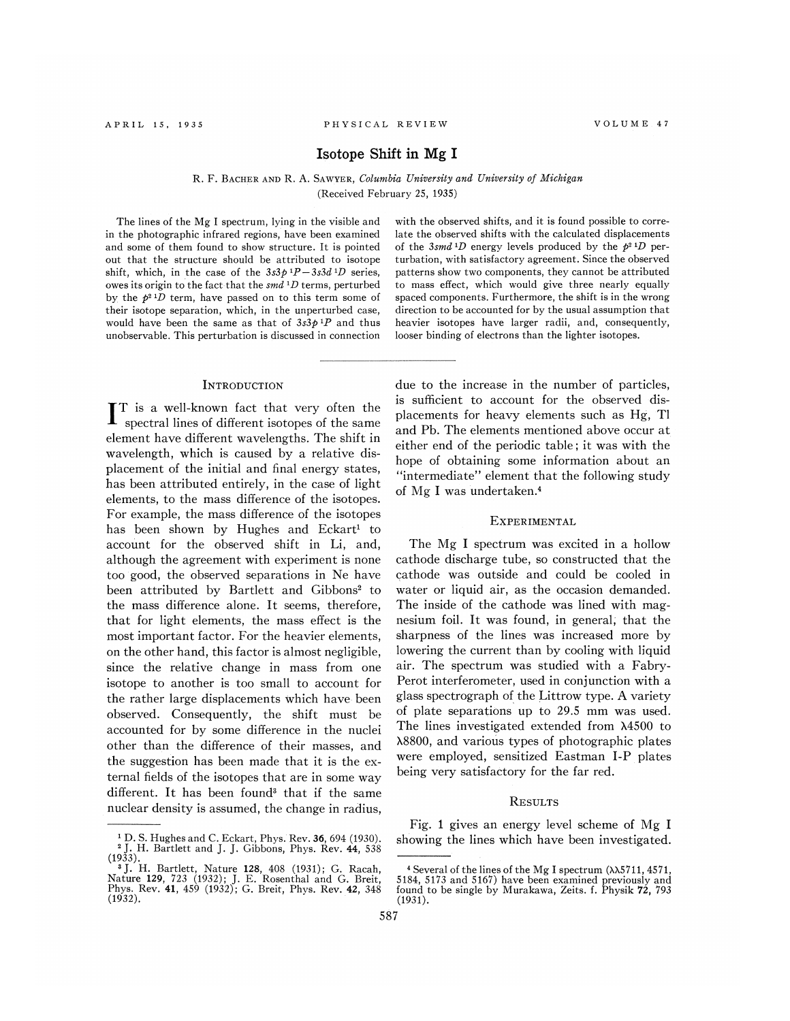# Isotope Shift in Mg I

R. F. BAcHER AND R. A. SAwYER, Columbia University and University of Michigan (Received February 25, 1935)

The lines of the Mg I spectrum, lying in the visible and in the photographic infrared regions, have been examined and some of them found to show structure. It is pointed out that the structure should be attributed to isotope shift, which, in the case of the  $3s3p^{1}P-3s3d^{1}D$  series, owes its origin to the fact that the  $smd$ <sup>1</sup>D terms, perturbed by the  $p^2 D$  term, have passed on to this term some of their isotope separation, which, in the unperturbed case, would have been the same as that of  $3s3p^{1}P$  and thus unobservable. This perturbation is discussed in connection

### **INTRODUCTION**

TT is a well-known fact that very often the spectral lines of different isotopes of the same element have different wavelengths. The shift in wavelength, which is caused by a relative displacement of the initial and final energy states, has been attributed entirely, in the case of light elements, to the mass difference of the isotopes. For example, the mass difference of the isotopes has been shown by Hughes and Eckart' to account for the observed shift in Li, and, although the agreement with experiment is none too good, the observed separations in Ne have been attributed by Bartlett and Gibbons' to the mass difference alone. It seems, therefore, that for light elements, the mass effect is the most important factor. For the heavier elements, on the other hand, this factor is almost negligible, since the relative change in mass from one isotope to another is too small to account for the rather large displacements which have been observed. Consequently, the shift must be accounted for by some difference in the nuclei other than the difference of their masses, and the suggestion has been made that it is the external fields of the isotopes that are in some way different. It has been found' that if the same nuclear density is assumed, the change in radius,

with the observed shifts, and it is found possible to correlate the observed shifts with the calculated displacements of the 3smd<sup>1</sup>D energy levels produced by the  $p^2$ <sup>1</sup>D perturbation, with satisfactory agreement. Since the observed patterns show two components, they cannot be attributed to mass effect, which would give three nearly equally spaced components. Furthermore, the shift is in the wrong direction to be accounted for by the usual assumption that heavier isotopes have larger radii, and, consequently, looser binding of electrons than the lighter isotopes.

due to the increase in the number of particles, is sufhcient to account for the observed displacements for heavy elements such as Hg, Tl and Pb. The elements mentioned above occur at either end of the periodic table; it was with the hope of obtaining some information about an "intermediate" element that the following study of Mg I was undertaken. <sup>4</sup>

## EXPERIMENTAL

The Mg I spectrum was excited in a hollow cathode discharge tube, so constructed that the cathode was outside and could be cooled in water or liquid air, as the occasion demanded. The inside of the cathode was lined with magnesium foil. It was found, in general; that the sharpness of the lines was increased more by lowering the current than by cooling with liquid air. The spectrum was studied with a Fabry-Perot interferometer, used in conjunction with a glass spectrograph of the Littrow type. A variety of plate separations up to 29.5 mm was used. The lines investigated extended from X4500 to X8800, and various types of photographic plates were employed, sensitized Eastman I-P plates being very satisfactory for the far red.

#### **RESULTS**

Fig. 1 gives an energy level scheme of Mg I

<sup>&</sup>lt;sup>1</sup> D. S. Hughes and C. Eckart, Phys. Rev. **36**, 694 (1930). showing the lines which have been investigated.  $(1933)$ .

 $\widetilde{J}$ , H. Bartlett, Nature 128, 408 (1931); G. Racah, 4 Several of the lines of the Mg I spectrum ( $\lambda$ X5711, 4571,  $\lambda$ 571, 4571,  $\lambda$ 571,  $\lambda$ 571,  $\lambda$ 571,  $\lambda$ 571,  $\lambda$ 571,  $\lambda$ 571,  $\lambda$ 571,  $\lambda$ 571,  $\lambda$ 584, 5173  $(1932).$  (1931).

Nature 129, 723 (1932); J. E. Rosenthal and G. Breit, 5184, 5173 and 5167) have been examined previously and<br>Phys. Rev. 41, 459 (1932); G. Breit, Phys. Rev. 42, 348 found to be single by Murakawa, Zeits. f. Physik 72, 793<br>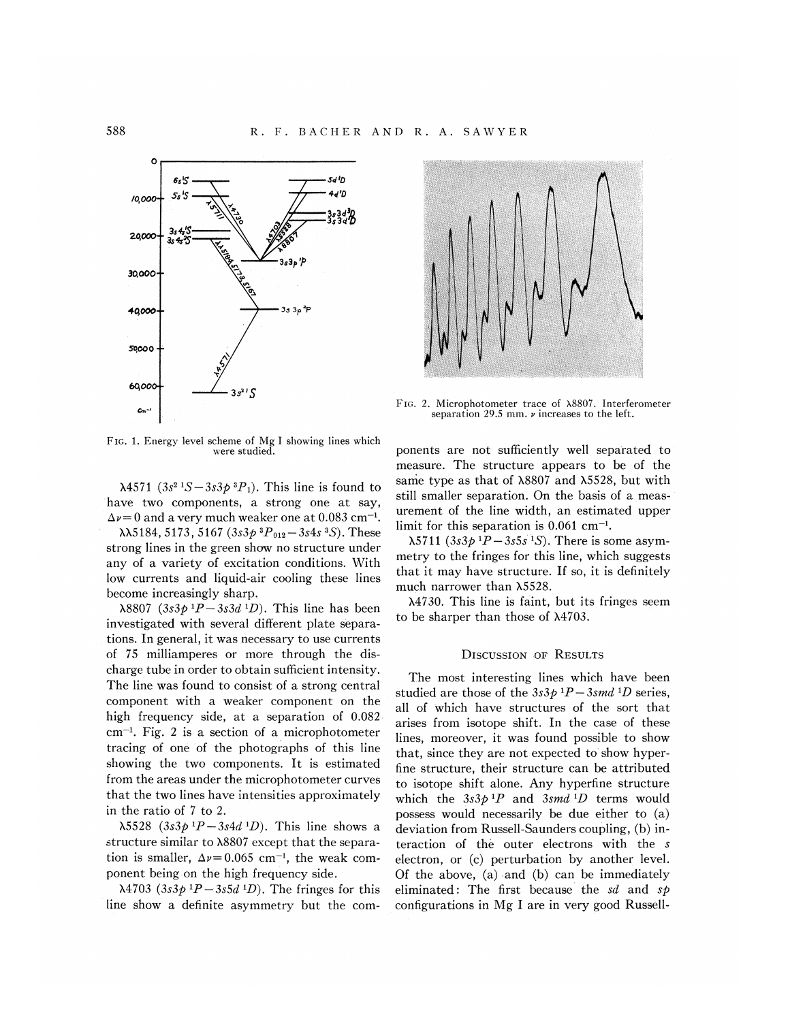

FIG. 1. Energy level scheme of Mg I showing lines which were studied.

 $\lambda$ 4571 (3s<sup>2</sup> 1S - 3s3p<sup>3</sup>P<sub>1</sub>). This line is found to have two components, a strong one at say,  $\Delta \nu$  = 0 and a very much weaker one at 0.083 cm<sup>-1</sup>.  $\lambda$ 3184, 5173, 5167 (3s3p<sup>3</sup> $P_{012}$  – 3s4s<sup>3</sup>S). These strong lines in the green show no structure under any of a variety of excitation conditions. With low currents and liquid-air cooling these lines become increasingly sharp.

 $\lambda 8807$  (3s3p<sup>1</sup>P – 3s3d<sup>1</sup>D). This line has been investigated with several different plate separations. In general, it was necessary to use currents of 75 milliamperes or more through the discharge tube in order to obtain sufficient intensity. The line was found to consist of a strong central component with a weaker component on the high frequency side, at a separation of 0.082  $cm^{-1}$ . Fig. 2 is a section of a microphotometer tracing of one of the photographs of this line showing the two components. It is estimated from the areas under the microphotometer curves that the two lines have intensities approximately in the ratio of 7 to 2.

 $\lambda$ 5528 (3s3p<sup>1</sup>P-3s4d<sup>1</sup>D). This line shows a structure similar to  $\lambda$ 8807 except that the separation is smaller,  $\Delta \nu = 0.065$  cm<sup>-1</sup>, the weak component being on the high frequency side.

 $\lambda$ 4703 (3s3p<sup>1</sup>P-3s5d<sup>1</sup>D). The fringes for this line show a definite asymmetry but the com-



FIG. 2. Microphotometer trace of  $\lambda 8807$ . Interferometer separation 29.5 mm.  $\nu$  increases to the left.

ponents are not sufficiently well separated to measure. The structure appears to be of the same type as that of  $\lambda$ 8807 and  $\lambda$ 5528, but with still smaller separation. On the basis of a measurement of the line width, an estimated upper limit for this separation is 0.061 cm<sup>-1</sup>.

 $\lambda$ 5711 (3s3p <sup>1</sup>P – 3s5s <sup>1</sup>S). There is some asymmetry to the fringes for this line, which suggests that it may have structure. If so, it is definitely much narrower than  $\lambda$ 5528.

 $\lambda$ 4730. This line is faint, but its fringes seem to be sharper than those of  $\lambda$ 4703.

### **DISCUSSION OF RESULTS**

The most interesting lines which have been studied are those of the  $3s3p^{1}P-3smd^{1}D$  series, all of which have structures of the sort that arises from isotope shift. In the case of these lines, moreover, it was found possible to show that, since they are not expected to show hyperfine structure, their structure can be attributed to isotope shift alone. Any hyperfine structure which the  $3s3p$ <sup>1</sup>P and  $3smd$ <sup>1</sup>D terms would possess would necessarily be due either to (a) deviation from Russell-Saunders coupling, (b) interaction of the outer electrons with the s electron, or (c) perturbation by another level. Of the above,  $(a)$  and  $(b)$  can be immediately eliminated: The first because the sd and  $s\phi$ configurations in Mg I are in very good Russell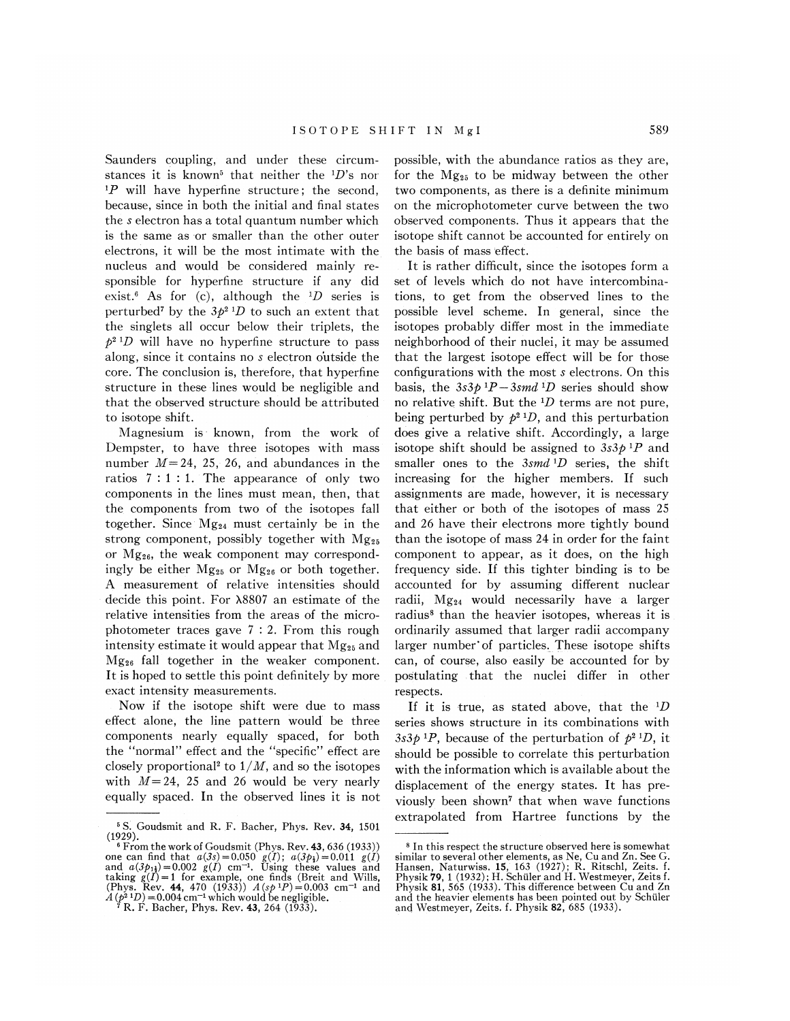Saunders coupling, and under these circumstances it is known<sup>5</sup> that neither the  $^{1}D$ 's nor  $P$  will have hyperfine structure; the second, because, since in both the initial and final states the s electron has a total quantum number which is the same as or smaller than the other outer electrons, it will be the most intimate with the nucleus and would be considered mainly responsible for hyperfine structure if any did exist.<sup>6</sup> As for (c), although the  ${}^{1}D$  series is perturbed<sup>7</sup> by the  $3p^2$ <sup>1</sup>D to such an extent that the singlets all occur below their triplets, the  $p^{2}$ <sup>1</sup>D will have no hyperfine structure to pass along, since it contains no s electron outside the core. The conclusion is, therefore, that hyperfine structure in these lines would be negligible and that the observed structure should be attributed to isotope shift.

Magnesium is known, from the work of Dempster, to have three isotopes with mass number  $M=24$ , 25, 26, and abundances in the ratios  $7:1:1$ . The appearance of only two components in the lines must mean, then, that the components from two of the isotopes fall together. Since  $Mg_{24}$  must certainly be in the strong component, possibly together with Mg25 or Mg26, the weak component may correspondingly be either  $Mg_{25}$  or  $Mg_{26}$  or both together. A measurement of relative intensities should decide this point. For  $\lambda$ 8807 an estimate of the relative intensities from the areas of the microphotometer traces gave 7: 2. From this rough intensity estimate it would appear that  $Mg_{25}$  and  $Mg_{26}$  fall together in the weaker component. It is hoped to settle this point definitely by more exact intensity measurements.

Now if the isotope shift were due to mass effect alone, the line pattern would be three components nearly equally spaced, for both the "normal" effect and the "specific" effect are closely proportional<sup>2</sup> to  $1/M$ , and so the isotopes with  $M=24$ , 25 and 26 would be very nearly equally spaced. In the observed lines it is not possible, with the abundance ratios as they are, for the  $Mg_{25}$  to be midway between the other two components, as there is a definite minimum on the microphotometer curve between the two observed components. Thus it appears that the isotope shift cannot be accounted for entirely on the basis of mass effect.

It is rather difficult, since the isotopes form a set of levels which do not have intercombinations, to get from the observed lines to the possible level scheme. In general, since the isotopes probably differ most in the immediate neighborhood of their nuclei, it may be assumed that the largest isotope effect will be for those configurations with the most s electrons. On this basis, the  $3s3p$ <sup>1</sup>P – 3smd<sup>1</sup>D series should show no relative shift. But the  ${}^{1}D$  terms are not pure, being perturbed by  $p^2 D$ , and this perturbation does give a relative shift. Accordingly, a large isotope shift should be assigned to  $3s3p^{1}P$  and smaller ones to the  $3smd^{-1}D$  series, the shift increasing for the higher members. If such assignments are made, however, it is necessary that either or both of the isotopes of mass 25 and 26 have their electrons more tightly bound than the isotope of mass 24 in order for the faint component to appear, as it does, on the high frequency side. If this tighter binding is to be accounted for by assuming different nuclear radii, Mg24 would necessarily have a larger radius' than the heavier isotopes, whereas it is ordinarily assumed that larger radii accompany larger number'of particles. These isotope shifts can, of course, also easily be accounted for by postulating that the nuclei differ in other respects.

If it is true, as stated above, that the  $^{1}D$ series shows structure in its combinations with  $3s3p^{1}P$ , because of the perturbation of  $p^{2}$   $D$ , it should be possible to correlate this perturbation with the information which is available about the displacement of the energy states. It has previously been shown7 that when wave functions extrapolated from Hartree functions by the

<sup>&</sup>lt;sup>5</sup> S. Goudsmit and R. F. Bacher, Phys. Rev. 34, 1501 (1929). '

<sup>&</sup>lt;sup>6</sup> From the work of Goudsmit (Phys. Rev. 43, 636 (1933)) one can find that  $u(3s) = 0.050 g(I)$ ;  $u(3p<sub>1</sub>) = 0.011 g(I)$ <br>and  $a(3p<sub>1</sub>) = 0.002 g(I)$  cm<sup>-1</sup>. Using these values and taking  $g(I) = 1$  for example, one finds (Breit and Wills)<br>(Phys. Rev. 44, 470 (1933))  $A(sp^1P) = 0.003$  cm<sup>-1</sup> and<br> $A(p^2 \text{--}1D) = 0.004 \text{ cm}^{-1}$  which would be negligible.

 $^{7}$  R. F. Bacher, Phys. Rev. 43, 264 (1933).

In this respect the structure observed here is somewhat similar to several other elements, as Ne, Cu and Zn. See G. Hansen, Naturwiss. 15, 163 (1927); R. Ritschl, Zeits. f. Physik 79, 1 (1932); H. Schüler and H. Westmeyer, Zeits f. Physik 81, 565 (1933). This difference between Cu and Zn and the heavier elements has been pointed out by Schüler and Westmeyer, Zeits. f. Physik 82, 685 (1933).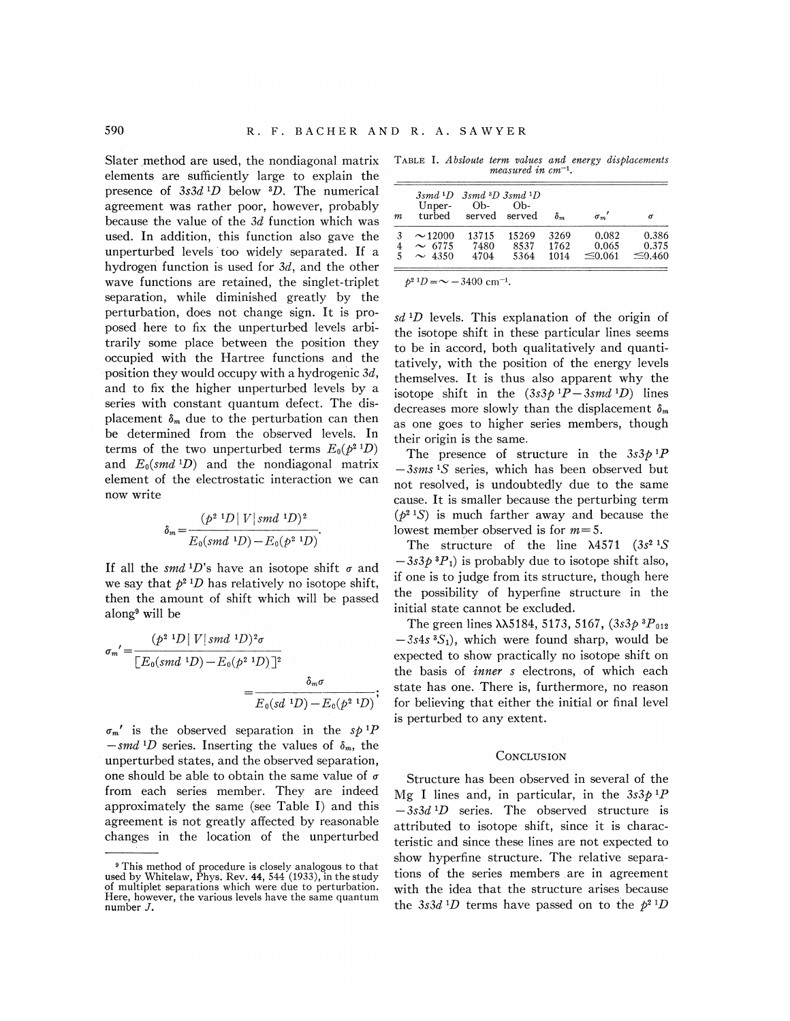Slater method are used, the nondiagonal matrix elements are sufficiently large to explain the presence of  $3s3d D$  below  $D$ . The numerical agreement was rather poor, however, probably because the value of the 3d function which was used. In addition, this function also gave the unperturbed levels 'too widely separated. If a hydrogen function is used for  $3d$ , and the other wave functions are retained, the singlet-triplet separation, while diminished greatly by the perturbation, does not change sign. It is proposed here to fix the unperturbed levels arbitrarily some place between the position they occupied with the Hartree functions and the position they would occupy with a hydrogenic  $3d$ , and to fix the higher unperturbed levels by a series with constant quantum defect. The displacement  $\delta_m$  due to the perturbation can then be determined from the observed levels. In terms of the two unperturbed terms  $E_0(p^2 | D)$ and  $E_0(smd^{-1}D)$  and the nondiagonal matrix element of the electrostatic interaction we can now write

$$
\delta_m = \frac{(p^2 \, {}^1D \, | \, V \, | \, smd \, {}^1D)^2}{E_0(smd \, {}^1D) - E_0(p^2 \, {}^1D)}.
$$

If all the smd 'D's have an isotope shift  $\sigma$  and we say that  $p^2 D$  has relatively no isotope shift, then the amount of shift which will be passed along<sup>9</sup> will be

$$
\sigma_m' = \frac{(p^{2} \text{ }^1D \mid V \mid smd \text{ }^1D)^2 \sigma}{\left[E_0(smd \text{ }^1D) - E_0(p^{2} \text{ }^1D)\right]^2}
$$
\n
$$
= \frac{\delta_m \sigma}{E_0(sd \text{ }^1D) - E_0(p^{2} \text{ }^1D)};
$$
\nstate

 $\sigma_m'$  is the observed separation in the sp<sup>1</sup>P  $-smd$  <sup>1</sup>D series. Inserting the values of  $\delta_m$ , the unperturbed states, and the observed separation, one should be able to obtain the same value of  $\sigma$ . from each series member. They are indeed approximately the same (see Table I) and this agreement is not greatly affected by reasonable changes in the location of the unperturbed

TABLE I. Absloute term values and energy displacements measured in  $cm^{-1}$ .

| m | Unper-<br>turbed | $3smd 1D$ $3smd 3D$ $3smd 1D$<br>Ob- | $Oh-$<br>served served | $\delta_m$ | $\sigma_m$ ' |              |
|---|------------------|--------------------------------------|------------------------|------------|--------------|--------------|
|   | $\sim$ 12000     | 13715                                | 15269                  | 3269       | 0.082        | 0.386        |
|   | $\sim$ 6775      | 7480                                 | 8537                   | 1762       | 0.065        | 0.375        |
|   | $\sim$ 4350      | 4704                                 | 5364                   | 1014       | $\leq 0.061$ | $\leq 0.460$ |

 $b^{2} D = \sim -3400$  cm<sup>-1</sup>

 $sd$ <sup>1</sup>D levels. This explanation of the origin of the isotope shift in these particular lines seems to be in accord, both qualitatively and quantitatively, with the position of the energy levels themselves. It is thus also apparent why the isotope shift in the  $(3s3p$ <sup>1</sup>P-3smd<sup>1</sup>D) lines decreases more slowly than the displacement  $\delta_m$ as one goes to higher series members, though their origin is the same.

The presence of structure in the  $3s3p^{1}P$  $-3$ sms<sup>1</sup>S series, which has been observed but not resolved, is undoubtedly due to the same cause. It is smaller because the perturbing term  $(p^{2} S)$  is much farther away and because the lowest member observed is for  $m=5$ .

The structure of the line  $\lambda$ 4571 (3s<sup>2</sup> 1S)  $-3s3p^{3}P_{1}$  is probably due to isotope shift also, if one is to judge from its structure, though here the possibility of hyperfine structure in the initial state cannot be excluded.

The green lines  $\lambda \lambda 5184, 5173, 5167, (3s3p^{3}P_{012})$  $-3s4s$ <sup>3</sup>S<sub>1</sub>), which were found sharp, would be expected to show practically no isotope shift on the basis of *inner* s electrons, of which each state has one. There is, furthermore, no reason for believing that either the initial or final level is perturbed to any extent.

#### **CONCLUSION**

Structure has been observed in several of the Mg I lines and, in particular, in the  $3s3p$ <sup>1</sup>P  $-3s3d$ <sup>1</sup>D series. The observed structure is attributed to isotope shift, since it is characteristic and since these lines are not expected to show hyperfine structure. The relative separations of the series members. are in agreement with the idea that the structure arises because the 3s3d<sup>1</sup>D terms have passed on to the  $p^2$ <sup>1</sup>D

This method of procedure is closely analogous to that used by Whitelaw, Phys. Rev. 44, 544 (1933), in the study of multiplet separations which were due to perturbation. Here, however, the various levels have the same quantum number J.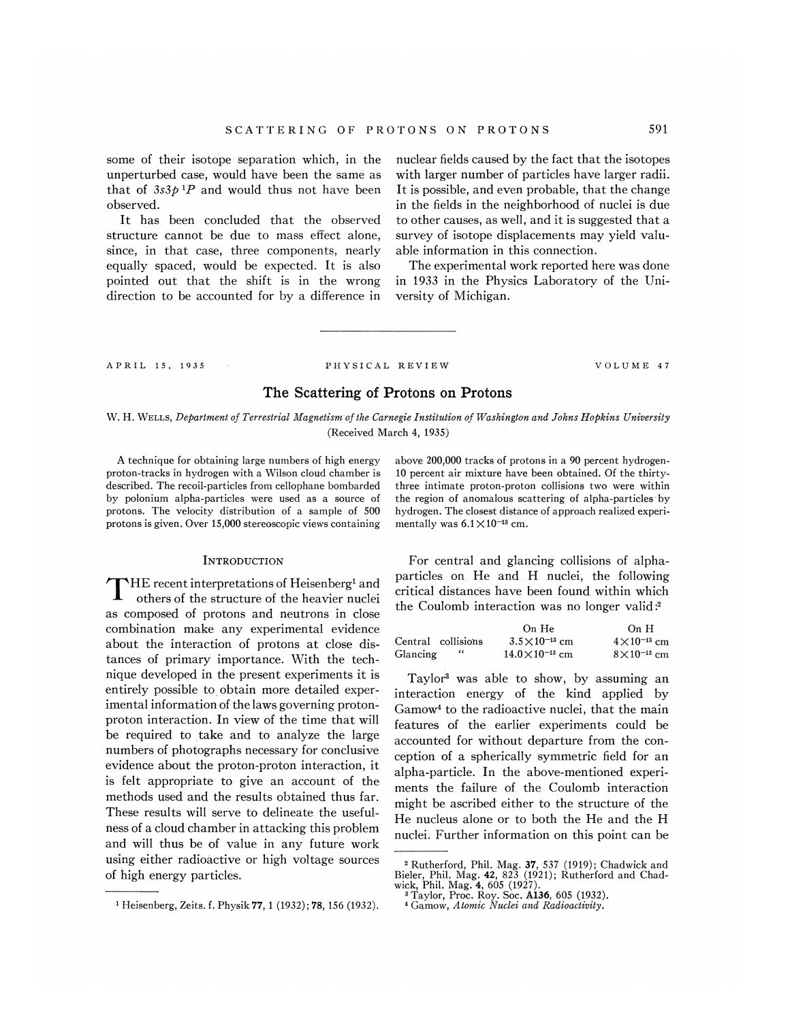some of their isotope separation which, in the unperturbed case, would have been the same as that of  $3s3p$ <sup>1</sup>P and would thus not have been observed.

It has been concluded that the observed structure cannot be due to mass effect alone, since, in that case, three components, nearly equally spaced, would be expected. It is also pointed out that the shift is in the wrong direction to be accounted for by a difference in nuclear fields caused by the fact that the isotopes with larger number of particles have larger radii. It is possible, and even probable, that the change in the fields in the neighborhood of nuclei is due to other causes, as well; and it is suggested that a survey of isotope displacements may yield valuable information in this connection.

The experimental work reported here was done in 1933 in the Physics Laboratory of the University of Michigan.

### A P R I L 15, 1935 PHYSICAL REVIEW VOLUME 47

# The Scattering of Protons on Protons

W. H. WELLS, Department of Terrestrial Magnetism of the Carnegie Institution of Washington and Johns Hopkins University (Received March 4, 1935)

A technique for obtaining large numbers of high energy proton-tracks in hydrogen with a Wilson cloud chamber is described. The recoil-particles from cellophane bombarded by polonium alpha-particles were used as a source of protons. The velocity distribution of a sample of 500 protons is given. Over 15,000 stereoscopic views containing

## **INTRODUCTION**

HE recent interpretations of Heisenberg<sup>1</sup> and others of the structure of the heavier nuclei as composed of protons and neutrons in close combination make any experimental evidence about the interaction of protons at close distances of primary importance. Kith the technique developed in the present experiments it is entirely possible to obtain more detailed experimental information of the laws governing protonproton interaction. In view of the time that will be required to take and to analyze the large numbers of photographs necessary for conclusive evidence about the proton-proton interaction, it is felt appropriate to give an account of the methods used and the results obtained thus far. These results will serve to delineate the usefulness of a cloud chamber in attacking this problem and will thus be of value in any future work using either radioactive or high voltage sources of high energy particles.

above 200,000 tracks of protons in a 90 percent hydrogen-10 percent air mixture have been obtained. Of the thirtythree intimate proton-proton collisions two were within the region of anomalous scattering of alpha-particles by hydrogen. The closest distance of approach realized experi-

|                    | On He                     | On H                 |
|--------------------|---------------------------|----------------------|
| Central collisions | $3.5 \times 10^{-13}$ cm  | $4\times10^{-13}$ cm |
| Glancing           | $14.0 \times 10^{-13}$ cm | $8\times10^{-13}$ cm |

the Coulomb interaction was no longer valid:2

Taylor' was able to show, by assuming an interaction energy of the kind applied by Gamow4 to the radioactive nuclei, that the main features of the earlier experiments could be accounted for without departure from the conception of a spherically symmetric field for an alpha-particle. In the above-mentioned experiments the failure of the Coulomb interaction might be ascribed' either to the structure of the He nucleus alone or to both the He and the H nuclei. Further information on this point can be

mentally was  $6.1 \times 10^{-13}$  cm. For central and glancing collisions of alphaparticles on He and H nuclei, the following critical distances have been found within which

<sup>&</sup>lt;sup>2</sup> Rutherford, Phil. Mag. 37, 537 (1919); Chadwick and<br>Bieler, Phil. Mag. 42, 823 (1921); Rutherford and Chad wick, Phil. Mag. 4, 605 (1927).

<sup>&</sup>lt;sup>3</sup> Taylor, Proc. Roy. Soc. A136, 605 (1932).

<sup>4</sup> Gamow, Atomic Nuclei and Radioactivity.